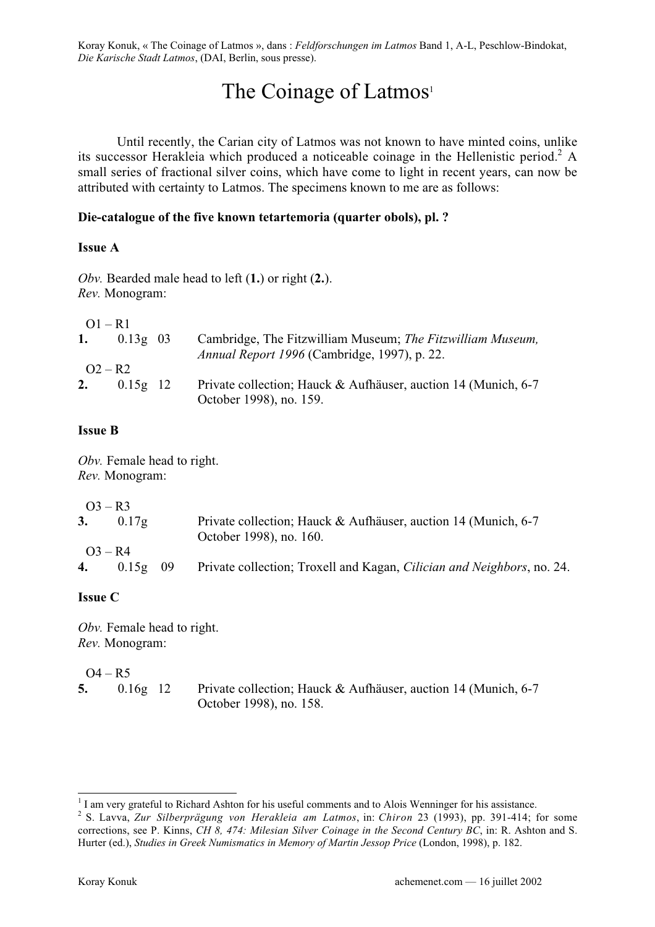# The Coinage of Latmos<sup>1</sup>

Until recently, the Carian city of Latmos was not known to have minted coins, unlike its successor Herakleia which produced a noticeable coinage in the Hellenistic period.<sup>2</sup> A small series of fractional silver coins, which have come to light in recent years, can now be attributed with certainty to Latmos. The specimens known to me are as follows:

### **Die-catalogue of the five known tetartemoria (quarter obols), pl. ?**

### **Issue A**

*Obv.* Bearded male head to left (**1.**) or right (**2.**). *Rev.* Monogram:

| $O1 - R1$     |                                                                                                            |
|---------------|------------------------------------------------------------------------------------------------------------|
| 1. $0.13g$ 03 | Cambridge, The Fitzwilliam Museum; The Fitzwilliam Museum,<br>Annual Report 1996 (Cambridge, 1997), p. 22. |
| $O2 - R2$     |                                                                                                            |
| 2. $0.15g$ 12 | Private collection; Hauck & Aufhäuser, auction 14 (Munich, 6-7)<br>October 1998), no. 159.                 |

### **Issue B**

*Obv.* Female head to right. *Rev.* Monogram:

| $O3 - R3$   |               |                                                                                            |
|-------------|---------------|--------------------------------------------------------------------------------------------|
|             | 3. $0.17g$    | Private collection; Hauck & Aufhäuser, auction 14 (Munich, 6-7)<br>October 1998), no. 160. |
| $Q_3 - R_4$ |               |                                                                                            |
|             | 4. $0.15g$ 09 | Private collection; Troxell and Kagan, <i>Cilician and Neighbors</i> , no. 24.             |

## **Issue C**

*Obv.* Female head to right. *Rev.* Monogram:

### $O4 - R5$ **5.** 0.16g 12 Private collection; Hauck & Aufhäuser, auction 14 (Munich, 6-7 October 1998), no. 158.

j  $<sup>1</sup>$  I am very grateful to Richard Ashton for his useful comments and to Alois Wenninger for his assistance.</sup>

<sup>2</sup> S. Lavva, *Zur Silberprägung von Herakleia am Latmos*, in: *Chiron* 23 (1993), pp. 391-414; for some corrections, see P. Kinns, *CH 8, 474: Milesian Silver Coinage in the Second Century BC*, in: R. Ashton and S. Hurter (ed.), *Studies in Greek Numismatics in Memory of Martin Jessop Price* (London, 1998), p. 182.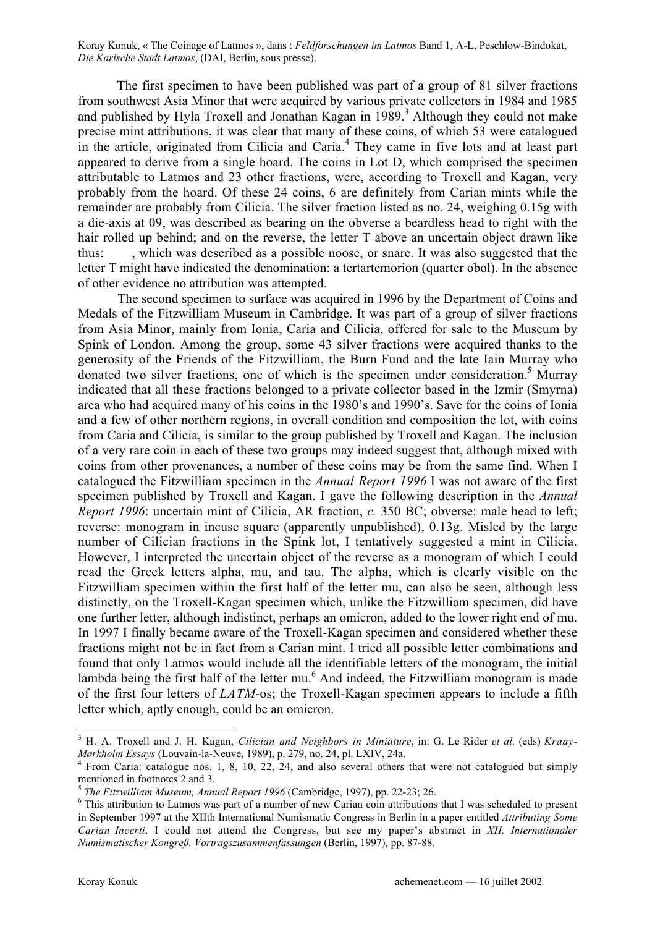The first specimen to have been published was part of a group of 81 silver fractions from southwest Asia Minor that were acquired by various private collectors in 1984 and 1985 and published by Hyla Troxell and Jonathan Kagan in  $1989$ .<sup>3</sup> Although they could not make precise mint attributions, it was clear that many of these coins, of which 53 were catalogued in the article, originated from Cilicia and Caria.<sup>4</sup> They came in five lots and at least part appeared to derive from a single hoard. The coins in Lot D, which comprised the specimen attributable to Latmos and 23 other fractions, were, according to Troxell and Kagan, very probably from the hoard. Of these 24 coins, 6 are definitely from Carian mints while the remainder are probably from Cilicia. The silver fraction listed as no. 24, weighing 0.15g with a die-axis at 09, was described as bearing on the obverse a beardless head to right with the hair rolled up behind; and on the reverse, the letter T above an uncertain object drawn like thus: , which was described as a possible noose, or snare. It was also suggested that the letter T might have indicated the denomination: a tertartemorion (quarter obol). In the absence of other evidence no attribution was attempted.

The second specimen to surface was acquired in 1996 by the Department of Coins and Medals of the Fitzwilliam Museum in Cambridge. It was part of a group of silver fractions from Asia Minor, mainly from Ionia, Caria and Cilicia, offered for sale to the Museum by Spink of London. Among the group, some 43 silver fractions were acquired thanks to the generosity of the Friends of the Fitzwilliam, the Burn Fund and the late Iain Murray who donated two silver fractions, one of which is the specimen under consideration.<sup>5</sup> Murray indicated that all these fractions belonged to a private collector based in the Izmir (Smyrna) area who had acquired many of his coins in the 1980's and 1990's. Save for the coins of Ionia and a few of other northern regions, in overall condition and composition the lot, with coins from Caria and Cilicia, is similar to the group published by Troxell and Kagan. The inclusion of a very rare coin in each of these two groups may indeed suggest that, although mixed with coins from other provenances, a number of these coins may be from the same find. When I catalogued the Fitzwilliam specimen in the *Annual Report 1996* I was not aware of the first specimen published by Troxell and Kagan. I gave the following description in the *Annual Report 1996*: uncertain mint of Cilicia, AR fraction, *c.* 350 BC; obverse: male head to left; reverse: monogram in incuse square (apparently unpublished), 0.13g. Misled by the large number of Cilician fractions in the Spink lot, I tentatively suggested a mint in Cilicia. However, I interpreted the uncertain object of the reverse as a monogram of which I could read the Greek letters alpha, mu, and tau. The alpha, which is clearly visible on the Fitzwilliam specimen within the first half of the letter mu, can also be seen, although less distinctly, on the Troxell-Kagan specimen which, unlike the Fitzwilliam specimen, did have one further letter, although indistinct, perhaps an omicron, added to the lower right end of mu. In 1997 I finally became aware of the Troxell-Kagan specimen and considered whether these fractions might not be in fact from a Carian mint. I tried all possible letter combinations and found that only Latmos would include all the identifiable letters of the monogram, the initial lambda being the first half of the letter mu.<sup>6</sup> And indeed, the Fitzwilliam monogram is made of the first four letters of *LATM*-os; the Troxell-Kagan specimen appears to include a fifth letter which, aptly enough, could be an omicron.

 3 H. A. Troxell and J. H. Kagan, *Cilician and Neighbors in Miniature*, in: G. Le Rider *et al.* (eds) *Kraay-Mørkholm Essays* (Louvain-la-Neuve, 1989), p. 279, no. 24, pl. LXIV, 24a. <sup>4</sup>

<sup>&</sup>lt;sup>4</sup> From Caria: catalogue nos. 1, 8, 10, 22, 24, and also several others that were not catalogued but simply mentioned in footnotes 2 and 3.

 $<sup>5</sup>$  *The Fitzwilliam Museum, Annual Report 1996* (Cambridge, 1997), pp. 22-23; 26.</sup>

<sup>&</sup>lt;sup>6</sup> This attribution to Latmos was part of a number of new Carian coin attributions that I was scheduled to present in September 1997 at the XIIth International Numismatic Congress in Berlin in a paper entitled *Attributing Some Carian Incerti*. I could not attend the Congress, but see my paper's abstract in *XII. Internationaler Numismatischer Kongreß. Vortragszusammenfassungen* (Berlin, 1997), pp. 87-88.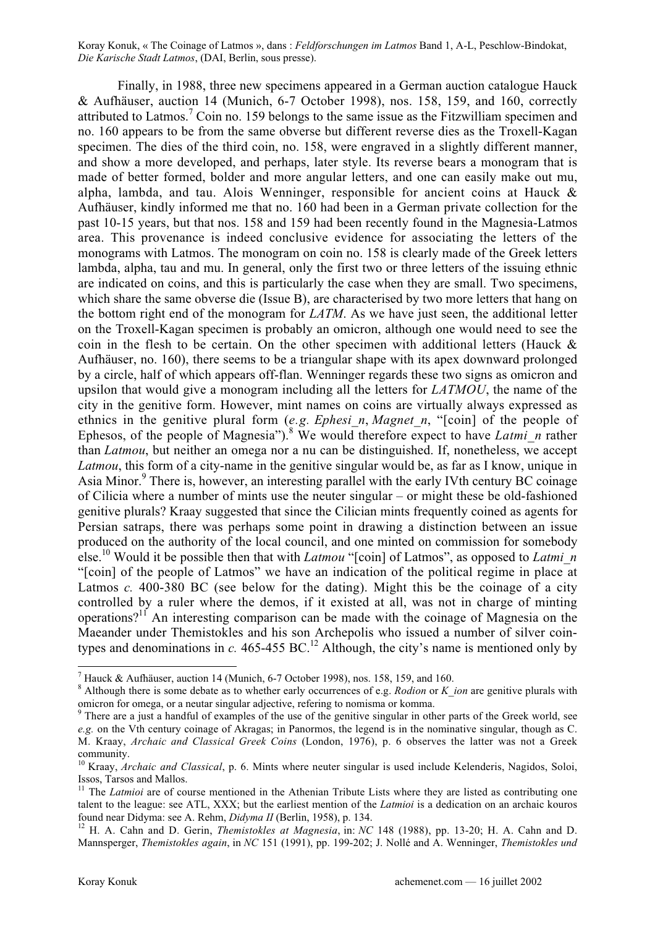Finally, in 1988, three new specimens appeared in a German auction catalogue Hauck & Aufhäuser, auction 14 (Munich, 6-7 October 1998), nos. 158, 159, and 160, correctly attributed to Latmos.<sup>7</sup> Coin no. 159 belongs to the same issue as the Fitzwilliam specimen and no. 160 appears to be from the same obverse but different reverse dies as the Troxell-Kagan specimen. The dies of the third coin, no. 158, were engraved in a slightly different manner, and show a more developed, and perhaps, later style. Its reverse bears a monogram that is made of better formed, bolder and more angular letters, and one can easily make out mu, alpha, lambda, and tau. Alois Wenninger, responsible for ancient coins at Hauck & Aufhäuser, kindly informed me that no. 160 had been in a German private collection for the past 10-15 years, but that nos. 158 and 159 had been recently found in the Magnesia-Latmos area. This provenance is indeed conclusive evidence for associating the letters of the monograms with Latmos. The monogram on coin no. 158 is clearly made of the Greek letters lambda, alpha, tau and mu. In general, only the first two or three letters of the issuing ethnic are indicated on coins, and this is particularly the case when they are small. Two specimens, which share the same obverse die (Issue B), are characterised by two more letters that hang on the bottom right end of the monogram for *LATM*. As we have just seen, the additional letter on the Troxell-Kagan specimen is probably an omicron, although one would need to see the coin in the flesh to be certain. On the other specimen with additional letters (Hauck  $\&$ Aufhäuser, no. 160), there seems to be a triangular shape with its apex downward prolonged by a circle, half of which appears off-flan. Wenninger regards these two signs as omicron and upsilon that would give a monogram including all the letters for *LATMOU*, the name of the city in the genitive form. However, mint names on coins are virtually always expressed as ethnics in the genitive plural form (*e.g. Ephesi\_n*, *Magnet\_n*, "[coin] of the people of Ephesos, of the people of Magnesia").<sup>8</sup> We would therefore expect to have *Latmi\_n* rather than *Latmou*, but neither an omega nor a nu can be distinguished. If, nonetheless, we accept *Latmou*, this form of a city-name in the genitive singular would be, as far as I know, unique in Asia Minor.<sup>9</sup> There is, however, an interesting parallel with the early IVth century BC coinage of Cilicia where a number of mints use the neuter singular – or might these be old-fashioned genitive plurals? Kraay suggested that since the Cilician mints frequently coined as agents for Persian satraps, there was perhaps some point in drawing a distinction between an issue produced on the authority of the local council, and one minted on commission for somebody else.10 Would it be possible then that with *Latmou* "[coin] of Latmos", as opposed to *Latmi\_n* "[coin] of the people of Latmos" we have an indication of the political regime in place at Latmos *c.* 400-380 BC (see below for the dating). Might this be the coinage of a city controlled by a ruler where the demos, if it existed at all, was not in charge of minting operations?<sup>11</sup> An interesting comparison can be made with the coinage of Magnesia on the Maeander under Themistokles and his son Archepolis who issued a number of silver cointypes and denominations in  $c$ , 465-455 BC.<sup>12</sup> Although, the city's name is mentioned only by

j

<sup>&</sup>lt;sup>7</sup> Hauck & Aufhäuser, auction 14 (Munich, 6-7 October 1998), nos. 158, 159, and 160.

<sup>8</sup> Although there is some debate as to whether early occurrences of e.g. *Rodion* or *K\_ion* are genitive plurals with omicron for omega, or a neutar singular adjective, refering to nomisma or komma.

<sup>&</sup>lt;sup>9</sup> There are a just a handful of examples of the use of the genitive singular in other parts of the Greek world, see *e.g.* on the Vth century coinage of Akragas; in Panormos, the legend is in the nominative singular, though as C. M. Kraay, *Archaic and Classical Greek Coins* (London, 1976), p. 6 observes the latter was not a Greek community.

<sup>&</sup>lt;sup>10</sup> Kraay, *Archaic and Classical*, p. 6. Mints where neuter singular is used include Kelenderis, Nagidos, Soloi, Issos, Tarsos and Mallos.

<sup>&</sup>lt;sup>11</sup> The *Latmioi* are of course mentioned in the Athenian Tribute Lists where they are listed as contributing one talent to the league: see ATL, XXX; but the earliest mention of the *Latmioi* is a dedication on an archaic kouros found near Didyma: see A. Rehm, *Didyma II* (Berlin, 1958), p. 134.<br><sup>12</sup> H. A. Cahn and D. Gerin, *Themistokles at Magnesia*, in: *NC* 148 (1988), pp. 13-20; H. A. Cahn and D.

Mannsperger, *Themistokles again*, in *NC* 151 (1991), pp. 199-202; J. Nollé and A. Wenninger, *Themistokles und*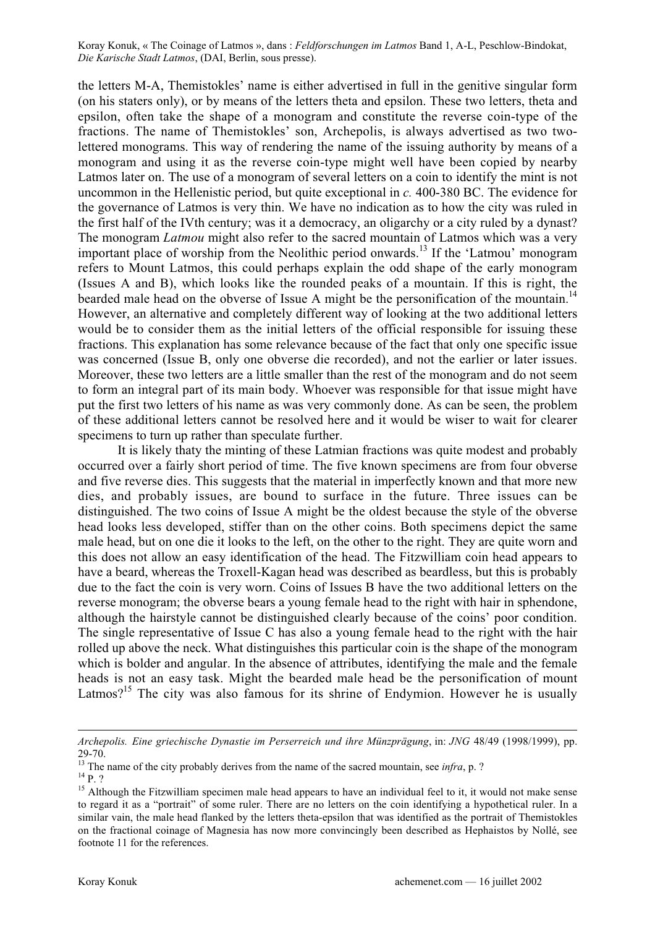the letters M-A, Themistokles' name is either advertised in full in the genitive singular form (on his staters only), or by means of the letters theta and epsilon. These two letters, theta and epsilon, often take the shape of a monogram and constitute the reverse coin-type of the fractions. The name of Themistokles' son, Archepolis, is always advertised as two twolettered monograms. This way of rendering the name of the issuing authority by means of a monogram and using it as the reverse coin-type might well have been copied by nearby Latmos later on. The use of a monogram of several letters on a coin to identify the mint is not uncommon in the Hellenistic period, but quite exceptional in *c.* 400-380 BC. The evidence for the governance of Latmos is very thin. We have no indication as to how the city was ruled in the first half of the IVth century; was it a democracy, an oligarchy or a city ruled by a dynast? The monogram *Latmou* might also refer to the sacred mountain of Latmos which was a very important place of worship from the Neolithic period onwards.13 If the 'Latmou' monogram refers to Mount Latmos, this could perhaps explain the odd shape of the early monogram (Issues A and B), which looks like the rounded peaks of a mountain. If this is right, the bearded male head on the obverse of Issue A might be the personification of the mountain.<sup>14</sup> However, an alternative and completely different way of looking at the two additional letters would be to consider them as the initial letters of the official responsible for issuing these fractions. This explanation has some relevance because of the fact that only one specific issue was concerned (Issue B, only one obverse die recorded), and not the earlier or later issues. Moreover, these two letters are a little smaller than the rest of the monogram and do not seem to form an integral part of its main body. Whoever was responsible for that issue might have put the first two letters of his name as was very commonly done. As can be seen, the problem of these additional letters cannot be resolved here and it would be wiser to wait for clearer specimens to turn up rather than speculate further.

It is likely thaty the minting of these Latmian fractions was quite modest and probably occurred over a fairly short period of time. The five known specimens are from four obverse and five reverse dies. This suggests that the material in imperfectly known and that more new dies, and probably issues, are bound to surface in the future. Three issues can be distinguished. The two coins of Issue A might be the oldest because the style of the obverse head looks less developed, stiffer than on the other coins. Both specimens depict the same male head, but on one die it looks to the left, on the other to the right. They are quite worn and this does not allow an easy identification of the head. The Fitzwilliam coin head appears to have a beard, whereas the Troxell-Kagan head was described as beardless, but this is probably due to the fact the coin is very worn. Coins of Issues B have the two additional letters on the reverse monogram; the obverse bears a young female head to the right with hair in sphendone, although the hairstyle cannot be distinguished clearly because of the coins' poor condition. The single representative of Issue C has also a young female head to the right with the hair rolled up above the neck. What distinguishes this particular coin is the shape of the monogram which is bolder and angular. In the absence of attributes, identifying the male and the female heads is not an easy task. Might the bearded male head be the personification of mount Latmos?<sup>15</sup> The city was also famous for its shrine of Endymion. However he is usually

-

*Archepolis. Eine griechische Dynastie im Perserreich und ihre Münzprägung*, in: *JNG* 48/49 (1998/1999), pp. 29-70.

<sup>&</sup>lt;sup>13</sup> The name of the city probably derives from the name of the sacred mountain, see *infra*, p. ?<br><sup>14</sup> P. ?

<sup>&</sup>lt;sup>15</sup> Although the Fitzwilliam specimen male head appears to have an individual feel to it, it would not make sense to regard it as a "portrait" of some ruler. There are no letters on the coin identifying a hypothetical ruler. In a similar vain, the male head flanked by the letters theta-epsilon that was identified as the portrait of Themistokles on the fractional coinage of Magnesia has now more convincingly been described as Hephaistos by Nollé, see footnote 11 for the references.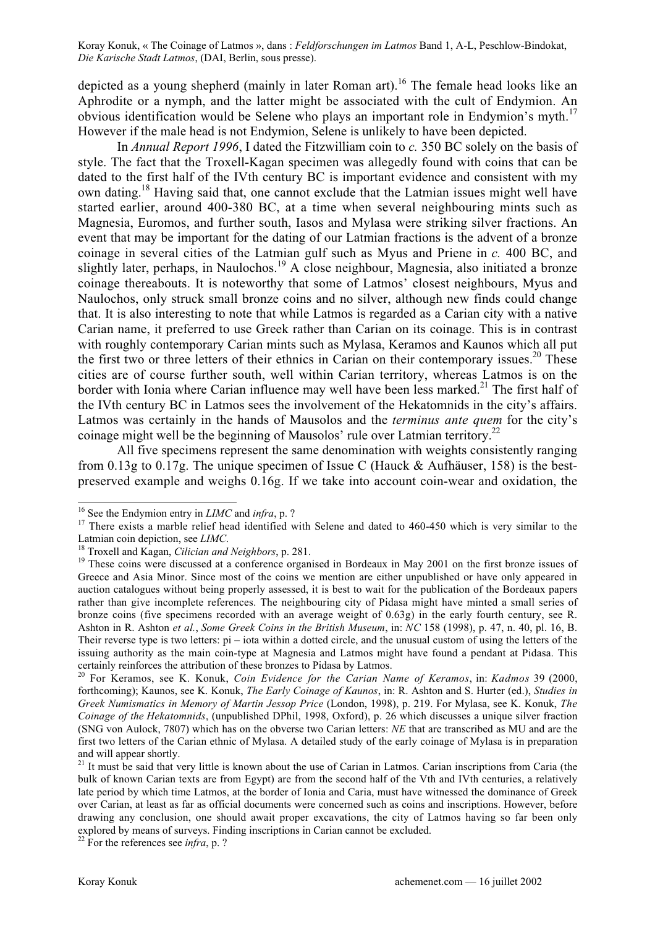depicted as a young shepherd (mainly in later Roman art).<sup>16</sup> The female head looks like an Aphrodite or a nymph, and the latter might be associated with the cult of Endymion. An obvious identification would be Selene who plays an important role in Endymion's myth.<sup>17</sup> However if the male head is not Endymion, Selene is unlikely to have been depicted.

In *Annual Report 1996*, I dated the Fitzwilliam coin to *c.* 350 BC solely on the basis of style. The fact that the Troxell-Kagan specimen was allegedly found with coins that can be dated to the first half of the IVth century BC is important evidence and consistent with my own dating.18 Having said that, one cannot exclude that the Latmian issues might well have started earlier, around 400-380 BC, at a time when several neighbouring mints such as Magnesia, Euromos, and further south, Iasos and Mylasa were striking silver fractions. An event that may be important for the dating of our Latmian fractions is the advent of a bronze coinage in several cities of the Latmian gulf such as Myus and Priene in *c.* 400 BC, and slightly later, perhaps, in Naulochos.<sup>19</sup> A close neighbour, Magnesia, also initiated a bronze coinage thereabouts. It is noteworthy that some of Latmos' closest neighbours, Myus and Naulochos, only struck small bronze coins and no silver, although new finds could change that. It is also interesting to note that while Latmos is regarded as a Carian city with a native Carian name, it preferred to use Greek rather than Carian on its coinage. This is in contrast with roughly contemporary Carian mints such as Mylasa, Keramos and Kaunos which all put the first two or three letters of their ethnics in Carian on their contemporary issues.<sup>20</sup> These cities are of course further south, well within Carian territory, whereas Latmos is on the border with Ionia where Carian influence may well have been less marked.<sup>21</sup> The first half of the IVth century BC in Latmos sees the involvement of the Hekatomnids in the city's affairs. Latmos was certainly in the hands of Mausolos and the *terminus ante quem* for the city's coinage might well be the beginning of Mausolos' rule over Latmian territory.<sup>22</sup>

All five specimens represent the same denomination with weights consistently ranging from 0.13g to 0.17g. The unique specimen of Issue C (Hauck & Aufhäuser, 158) is the bestpreserved example and weighs 0.16g. If we take into account coin-wear and oxidation, the

 $^{22}$  For the references see *infra*, p. ?

<sup>&</sup>lt;sup>16</sup> See the Endymion entry in *LIMC* and *infra*, p. ?

<sup>&</sup>lt;sup>17</sup> There exists a marble relief head identified with Selene and dated to 460-450 which is very similar to the Latmian coin depiction, see *LIMC*.

<sup>&</sup>lt;sup>18</sup> Troxell and Kagan, *Cilician and Neighbors*, p. 281. <sup>19</sup> These coins were discussed at a conference organised in Bordeaux in May 2001 on the first bronze issues of Greece and Asia Minor. Since most of the coins we mention are either unpublished or have only appeared in auction catalogues without being properly assessed, it is best to wait for the publication of the Bordeaux papers rather than give incomplete references. The neighbouring city of Pidasa might have minted a small series of bronze coins (five specimens recorded with an average weight of 0.63g) in the early fourth century, see R. Ashton in R. Ashton *et al.*, *Some Greek Coins in the British Museum*, in: *NC* 158 (1998), p. 47, n. 40, pl. 16, B. Their reverse type is two letters:  $pi - \text{iota}$  within a dotted circle, and the unusual custom of using the letters of the issuing authority as the main coin-type at Magnesia and Latmos might have found a pendant at Pidasa. This certainly reinforces the attribution of these bronzes to Pidasa by Latmos.

<sup>20</sup> For Keramos, see K. Konuk, *Coin Evidence for the Carian Name of Keramos*, in: *Kadmos* 39 (2000, forthcoming); Kaunos, see K. Konuk, *The Early Coinage of Kaunos*, in: R. Ashton and S. Hurter (ed.), *Studies in Greek Numismatics in Memory of Martin Jessop Price* (London, 1998), p. 219. For Mylasa, see K. Konuk, *The Coinage of the Hekatomnids*, (unpublished DPhil, 1998, Oxford), p. 26 which discusses a unique silver fraction (SNG von Aulock, 7807) which has on the obverse two Carian letters: *NE* that are transcribed as MU and are the first two letters of the Carian ethnic of Mylasa. A detailed study of the early coinage of Mylasa is in preparation and will appear shortly.

<sup>&</sup>lt;sup>21</sup> It must be said that very little is known about the use of Carian in Latmos. Carian inscriptions from Caria (the bulk of known Carian texts are from Egypt) are from the second half of the Vth and IVth centuries, a relatively late period by which time Latmos, at the border of Ionia and Caria, must have witnessed the dominance of Greek over Carian, at least as far as official documents were concerned such as coins and inscriptions. However, before drawing any conclusion, one should await proper excavations, the city of Latmos having so far been only explored by means of surveys. Finding inscriptions in Carian cannot be excluded.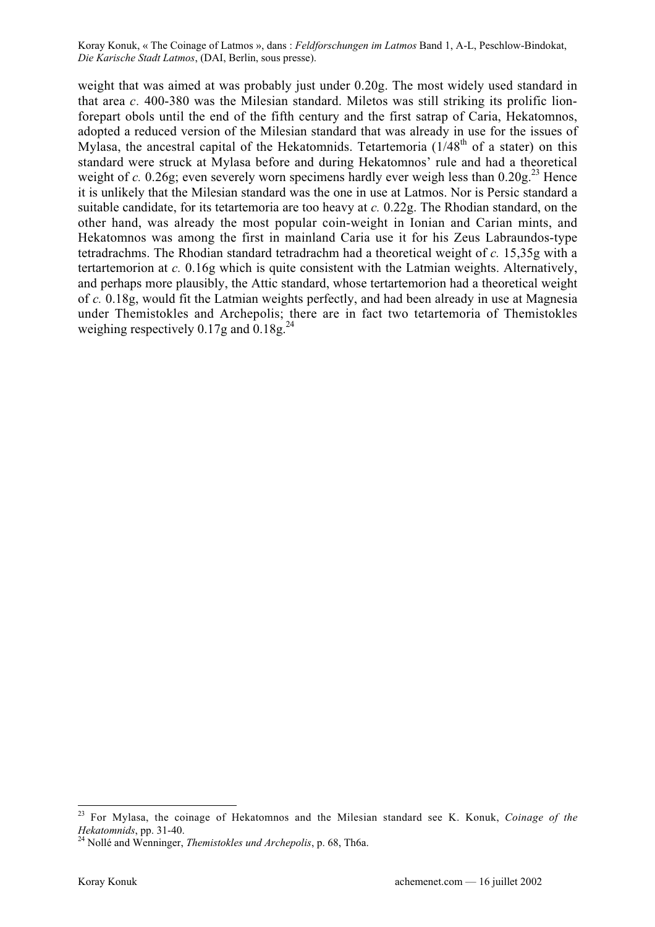weight that was aimed at was probably just under 0.20g. The most widely used standard in that area *c.* 400-380 was the Milesian standard. Miletos was still striking its prolific lionforepart obols until the end of the fifth century and the first satrap of Caria, Hekatomnos, adopted a reduced version of the Milesian standard that was already in use for the issues of Mylasa, the ancestral capital of the Hekatomnids. Tetartemoria  $(1/48<sup>th</sup>$  of a stater) on this standard were struck at Mylasa before and during Hekatomnos' rule and had a theoretical weight of *c.* 0.26g; even severely worn specimens hardly ever weigh less than  $0.20g^{23}$  Hence it is unlikely that the Milesian standard was the one in use at Latmos. Nor is Persic standard a suitable candidate, for its tetartemoria are too heavy at *c.* 0.22g. The Rhodian standard, on the other hand, was already the most popular coin-weight in Ionian and Carian mints, and Hekatomnos was among the first in mainland Caria use it for his Zeus Labraundos-type tetradrachms. The Rhodian standard tetradrachm had a theoretical weight of *c.* 15,35g with a tertartemorion at *c.* 0.16g which is quite consistent with the Latmian weights. Alternatively, and perhaps more plausibly, the Attic standard, whose tertartemorion had a theoretical weight of *c.* 0.18g, would fit the Latmian weights perfectly, and had been already in use at Magnesia under Themistokles and Archepolis; there are in fact two tetartemoria of Themistokles weighing respectively 0.17g and  $0.18g^{24}$ 

j

<sup>23</sup> For Mylasa, the coinage of Hekatomnos and the Milesian standard see K. Konuk, *Coinage of the Hekatomnids*, pp. 31-40.<br><sup>24</sup> Nollé and Wenninger, *Themistokles und Archepolis*, p. 68, Th6a.